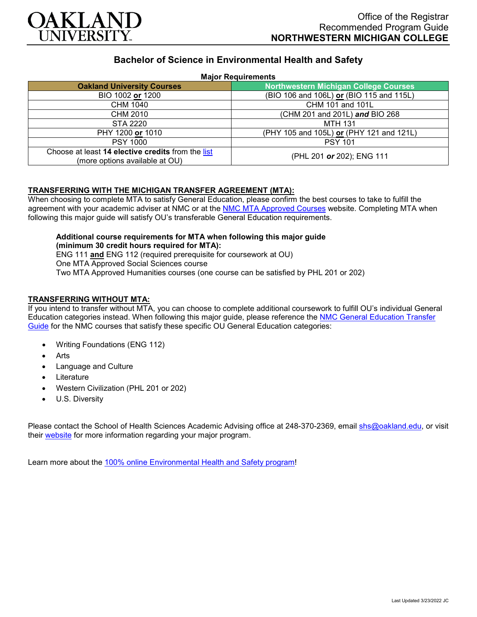

# **Bachelor of Science in Environmental Health and Safety**

#### **Major Requirements**

| 1121011104011011101110                                                              |                                              |
|-------------------------------------------------------------------------------------|----------------------------------------------|
| <b>Oakland University Courses</b>                                                   | <b>Northwestern Michigan College Courses</b> |
| BIO 1002 or 1200                                                                    | (BIO 106 and 106L) or (BIO 115 and 115L)     |
| <b>CHM 1040</b>                                                                     | CHM 101 and 101L                             |
| CHM 2010                                                                            | (CHM 201 and 201L) and BIO 268               |
| STA 2220                                                                            | <b>MTH 131</b>                               |
| PHY 1200 or 1010                                                                    | (PHY 105 and 105L) or (PHY 121 and 121L)     |
| <b>PSY 1000</b>                                                                     | <b>PSY 101</b>                               |
| Choose at least 14 elective credits from the list<br>(more options available at OU) | (PHL 201 or 202); ENG 111                    |

#### **TRANSFERRING WITH THE MICHIGAN TRANSFER AGREEMENT (MTA):**

When choosing to complete MTA to satisfy General Education, please confirm the best courses to take to fulfill the agreement with your academic adviser at NMC or at the [NMC MTA Approved Courses](https://www.nmc.edu/programs/course-descriptions/group-1-courses-for-mta.pdf) website. Completing MTA when following this major guide will satisfy OU's transferable General Education requirements.

### **Additional course requirements for MTA when following this major guide (minimum 30 credit hours required for MTA):** ENG 111 **and** ENG 112 (required prerequisite for coursework at OU)

One MTA Approved Social Sciences course Two MTA Approved Humanities courses (one course can be satisfied by PHL 201 or 202)

# **TRANSFERRING WITHOUT MTA:**

If you intend to transfer without MTA, you can choose to complete additional coursework to fulfill OU's individual General Education categories instead. When following this major guide, please reference the [NMC General Education Transfer](https://www.oakland.edu/Assets/Oakland/program-guides/northwestern-michigan-college/university-general-education-requirements/Northwestern%20Gen%20Ed.pdf)  [Guide](https://www.oakland.edu/Assets/Oakland/program-guides/northwestern-michigan-college/university-general-education-requirements/Northwestern%20Gen%20Ed.pdf) for the NMC courses that satisfy these specific OU General Education categories:

- Writing Foundations (ENG 112)
- **Arts**
- Language and Culture
- **Literature**
- Western Civilization (PHL 201 or 202)
- U.S. Diversity

Please contact the School of Health Sciences Academic Advising office at 248-370-2369, email [shs@oakland.edu,](mailto:shs@oakland.edu) or visit their [website](http://www.oakland.edu/shs/advising) for more information regarding your major program.

Learn more about the [100% online Environmental Health and Safety program!](https://www.oakland.edu/online/undergraduate-degree-programs/ehs/)